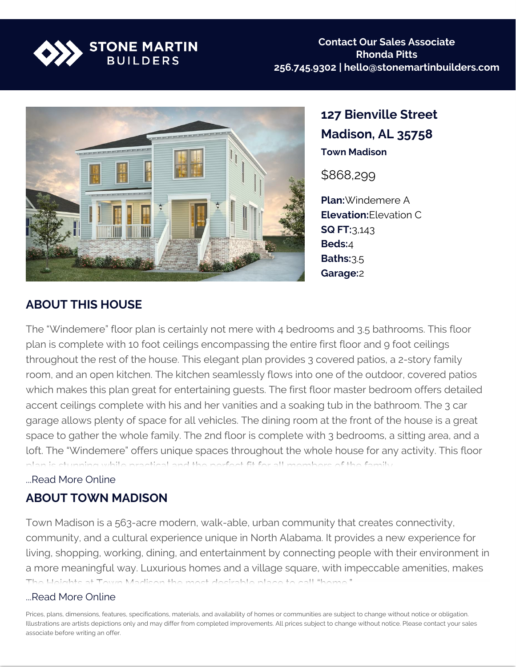



**127 Bienville Street Madison, AL 35758 Town Madison**

\$868,299

**Plan:**Windemere A **Elevation:**Elevation C **SQ FT:**3,143 **Beds:**4 **Baths:**3.5 **Garage:**2

### **ABOUT THIS HOUSE**

The "Windemere" floor plan is certainly not mere with 4 bedrooms and 3.5 bathrooms. This floor plan is complete with 10 foot ceilings encompassing the entire first floor and 9 foot ceilings throughout the rest of the house. This elegant plan provides 3 covered patios, a 2-story family room, and an open kitchen. The kitchen seamlessly flows into one of the outdoor, covered patios which makes this plan great for entertaining guests. The first floor master bedroom offers detailed accent ceilings complete with his and her vanities and a soaking tub in the bathroom. The 3 car garage allows plenty of space for all vehicles. The dining room at the front of the house is a great space to gather the whole family. The 2nd floor is complete with 3 bedrooms, a sitting area, and a loft. The "Windemere" offers unique spaces throughout the whole house for any activity. This floor plan is stunning while practical and the perfect fit for all members of the family.

#### ...Read More Online

### **ABOUT TOWN MADISON**

Town Madison is a 563-acre modern, walk-able, urban community that creates connectivity, community, and a cultural experience unique in North Alabama. It provides a new experience for living, shopping, working, dining, and entertainment by connecting people with their environment in a more meaningful way. Luxurious homes and a village square, with impeccable amenities, makes The Heights at Town Madison the most desirable place to call "home."

#### ...Read More Online

Prices, plans, dimensions, features, specifications, materials, and availability of homes or communities are subject to change without notice or obligation. Illustrations are artists depictions only and may differ from completed improvements. All prices subject to change without notice. Please contact your sales associate before writing an offer.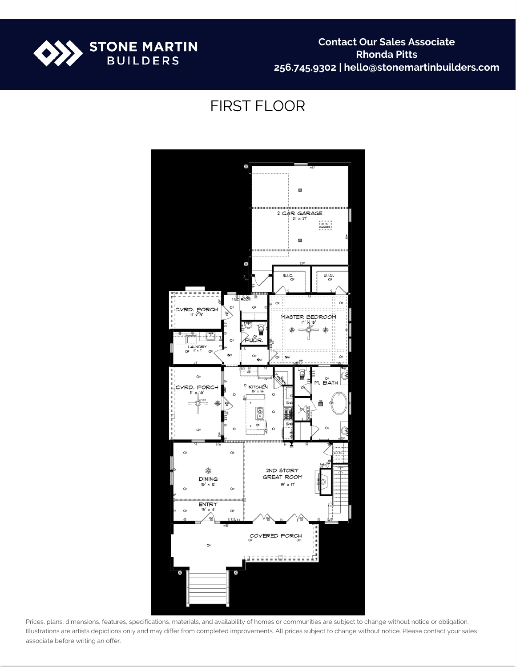

## FIRST FLOOR



Prices, plans, dimensions, features, specifications, materials, and availability of homes or communities are subject to change without notice or obligation. Illustrations are artists depictions only and may differ from completed improvements. All prices subject to change without notice. Please contact your sales associate before writing an offer.